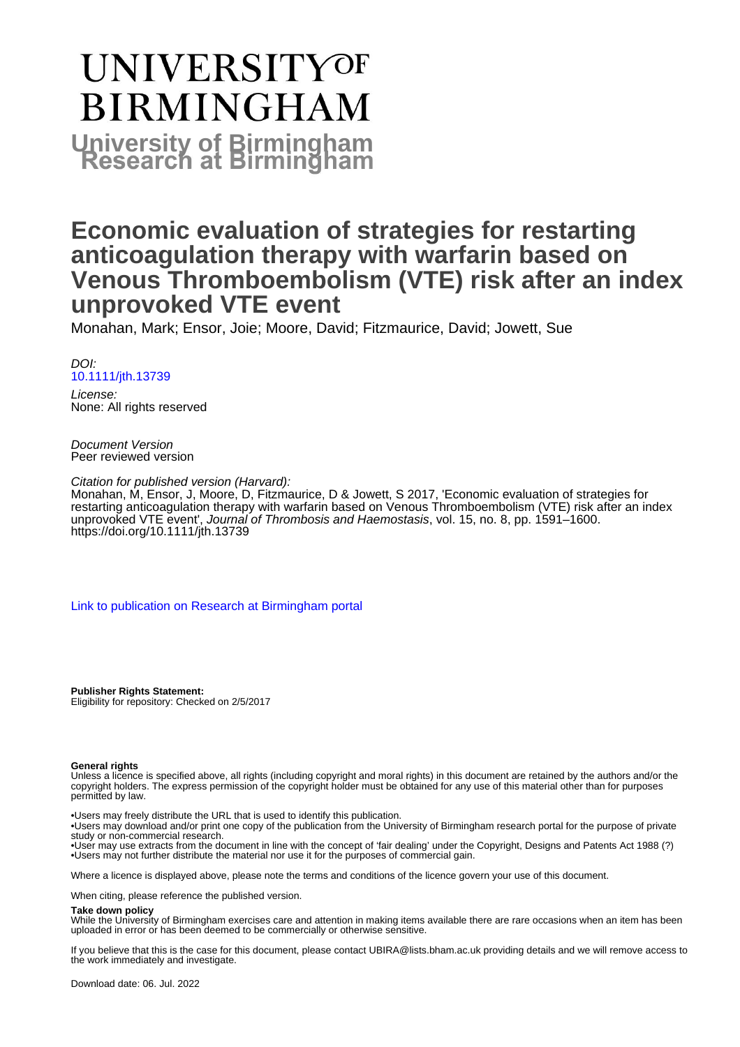# **UNIVERSITYOF BIRMINGHAM University of Birmingham**

# **Economic evaluation of strategies for restarting anticoagulation therapy with warfarin based on Venous Thromboembolism (VTE) risk after an index unprovoked VTE event**

Monahan, Mark; Ensor, Joie; Moore, David; Fitzmaurice, David; Jowett, Sue

DOI: [10.1111/jth.13739](https://doi.org/10.1111/jth.13739)

License: None: All rights reserved

Document Version Peer reviewed version

Citation for published version (Harvard):

Monahan, M, Ensor, J, Moore, D, Fitzmaurice, D & Jowett, S 2017, 'Economic evaluation of strategies for restarting anticoagulation therapy with warfarin based on Venous Thromboembolism (VTE) risk after an index unprovoked VTE event', Journal of Thrombosis and Haemostasis, vol. 15, no. 8, pp. 1591–1600. <https://doi.org/10.1111/jth.13739>

[Link to publication on Research at Birmingham portal](https://birmingham.elsevierpure.com/en/publications/b5c59cfe-2f6c-4077-9344-54ea9434250d)

**Publisher Rights Statement:** Eligibility for repository: Checked on 2/5/2017

#### **General rights**

Unless a licence is specified above, all rights (including copyright and moral rights) in this document are retained by the authors and/or the copyright holders. The express permission of the copyright holder must be obtained for any use of this material other than for purposes permitted by law.

• Users may freely distribute the URL that is used to identify this publication.

• Users may download and/or print one copy of the publication from the University of Birmingham research portal for the purpose of private study or non-commercial research.

• User may use extracts from the document in line with the concept of 'fair dealing' under the Copyright, Designs and Patents Act 1988 (?) • Users may not further distribute the material nor use it for the purposes of commercial gain.

Where a licence is displayed above, please note the terms and conditions of the licence govern your use of this document.

When citing, please reference the published version.

#### **Take down policy**

While the University of Birmingham exercises care and attention in making items available there are rare occasions when an item has been uploaded in error or has been deemed to be commercially or otherwise sensitive.

If you believe that this is the case for this document, please contact UBIRA@lists.bham.ac.uk providing details and we will remove access to the work immediately and investigate.

Download date: 06. Jul. 2022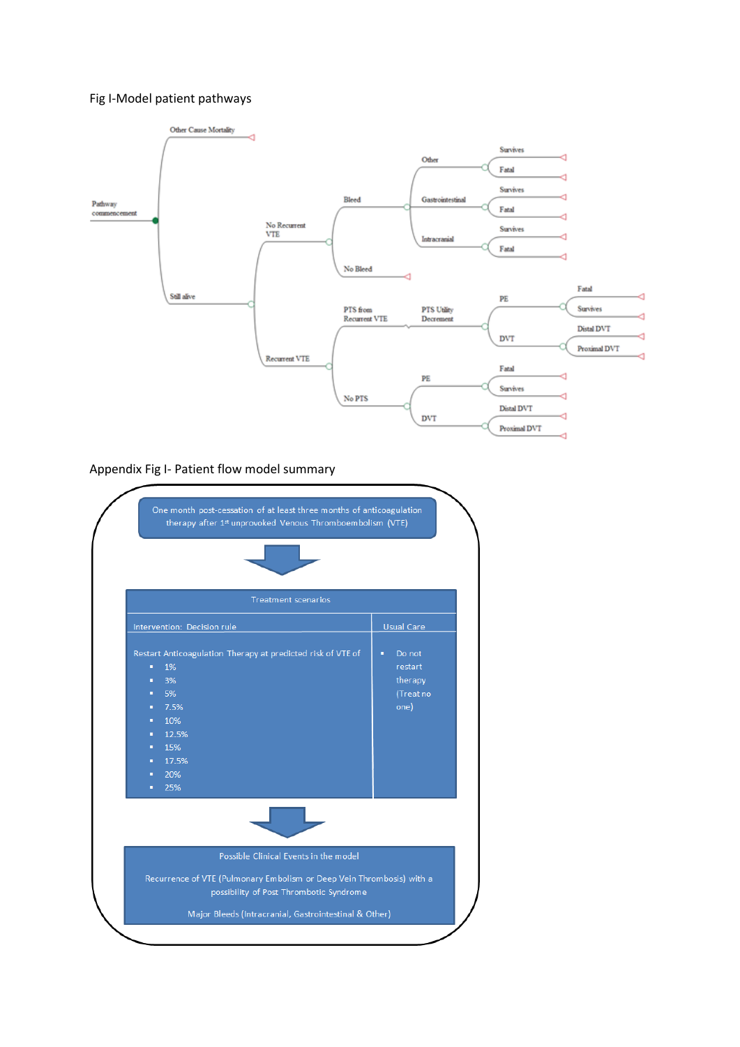### Fig I-Model patient pathways



Appendix Fig I- Patient flow model summary

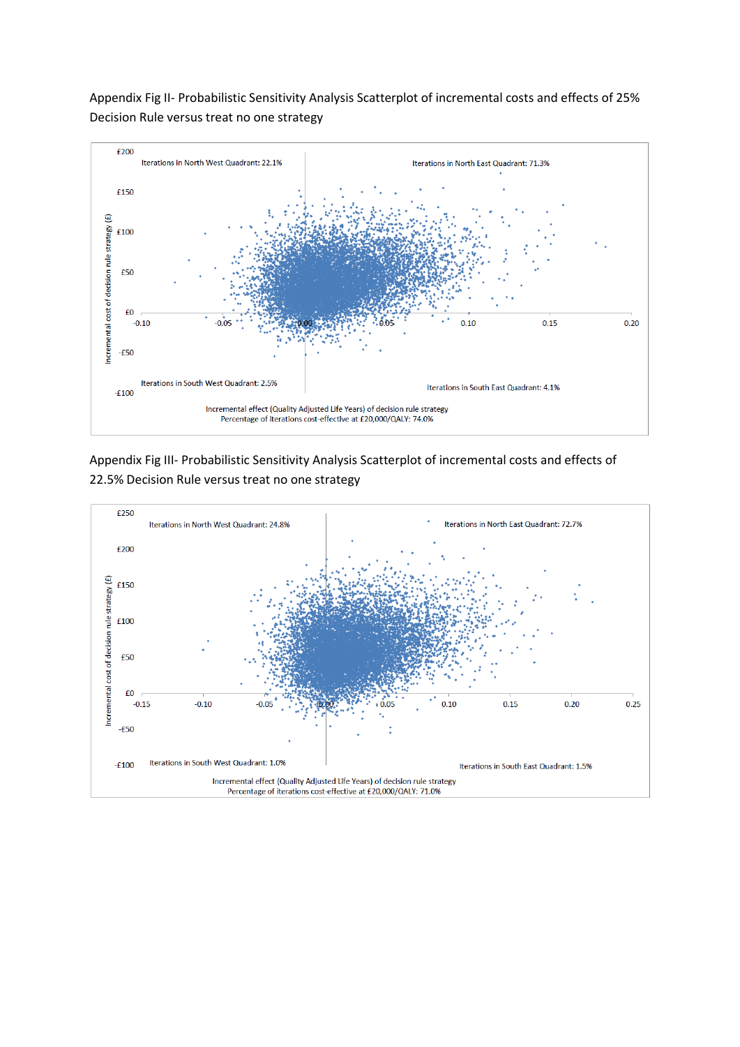Appendix Fig II- Probabilistic Sensitivity Analysis Scatterplot of incremental costs and effects of 25% Decision Rule versus treat no one strategy



Appendix Fig III- Probabilistic Sensitivity Analysis Scatterplot of incremental costs and effects of 22.5% Decision Rule versus treat no one strategy

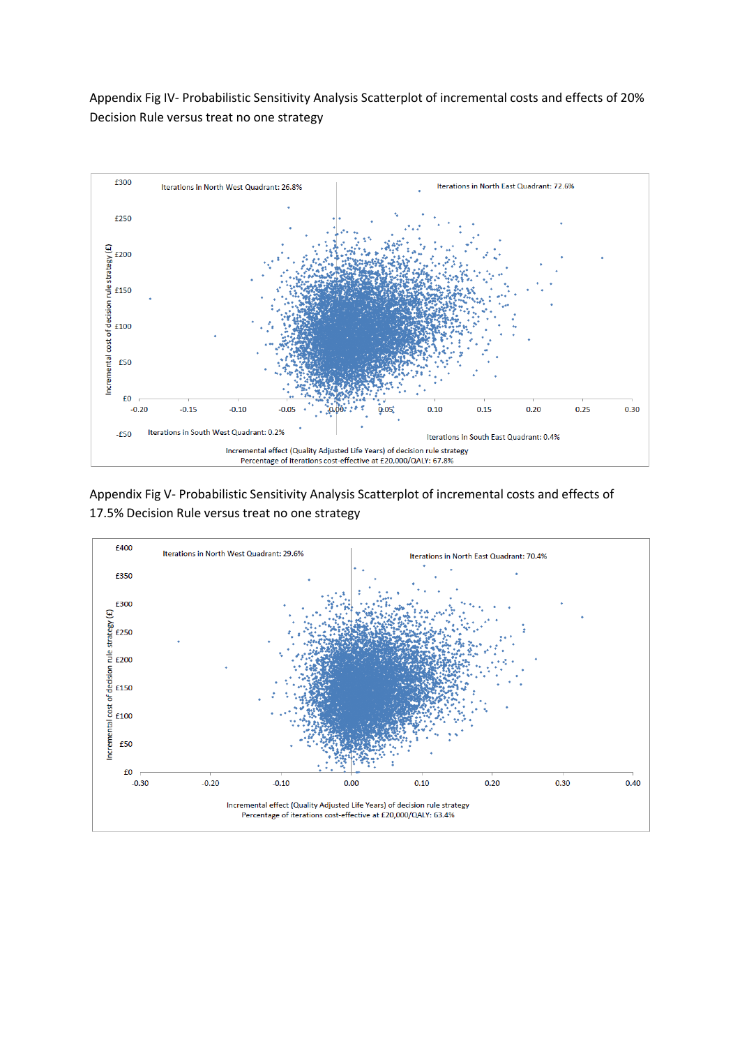Appendix Fig IV- Probabilistic Sensitivity Analysis Scatterplot of incremental costs and effects of 20% Decision Rule versus treat no one strategy



Appendix Fig V- Probabilistic Sensitivity Analysis Scatterplot of incremental costs and effects of 17.5% Decision Rule versus treat no one strategy

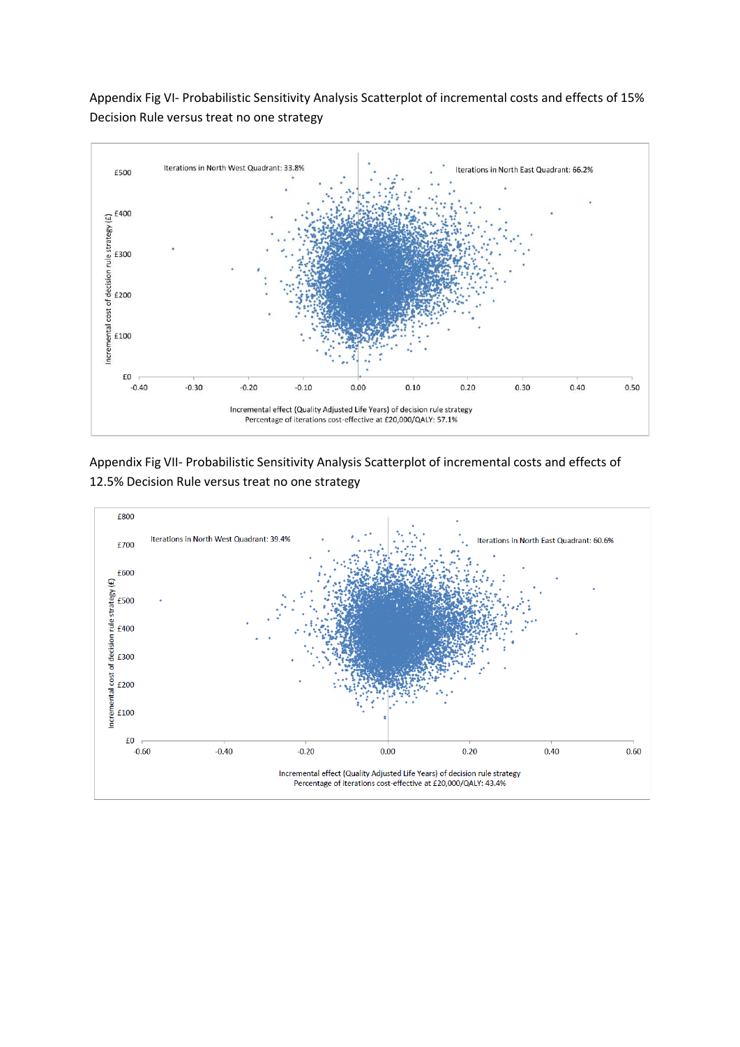Appendix Fig VI- Probabilistic Sensitivity Analysis Scatterplot of incremental costs and effects of 15% Decision Rule versus treat no one strategy



Appendix Fig VII- Probabilistic Sensitivity Analysis Scatterplot of incremental costs and effects of 12.5% Decision Rule versus treat no one strategy

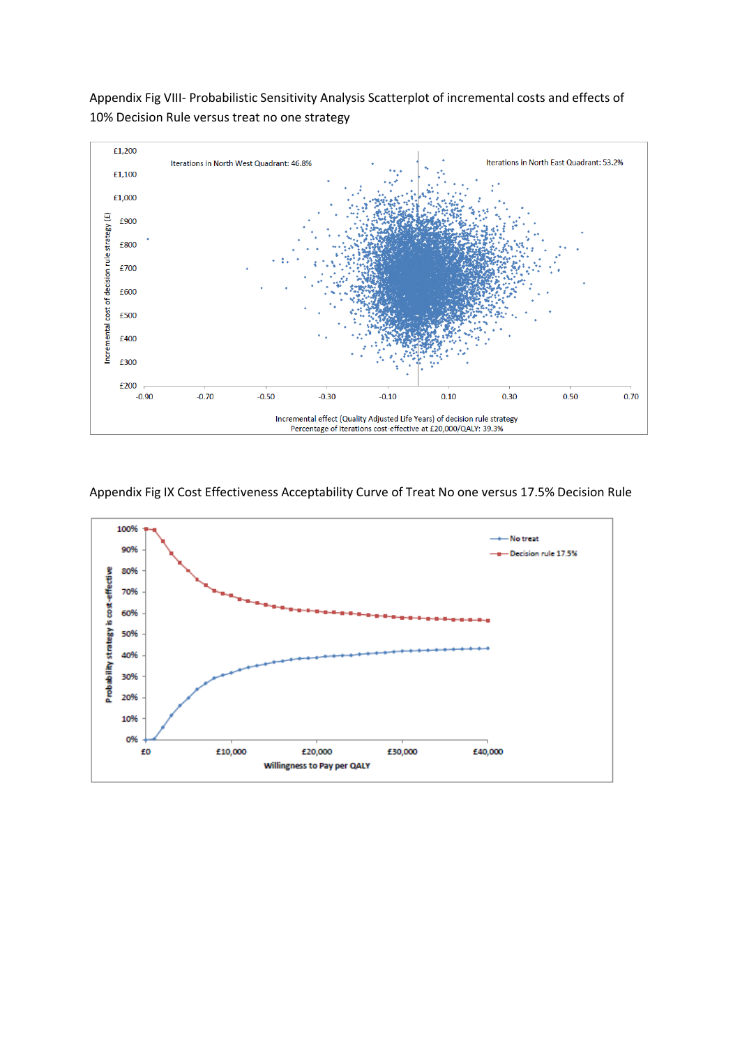

Appendix Fig VIII- Probabilistic Sensitivity Analysis Scatterplot of incremental costs and effects of 10% Decision Rule versus treat no one strategy

## Appendix Fig IX Cost Effectiveness Acceptability Curve of Treat No one versus 17.5% Decision Rule

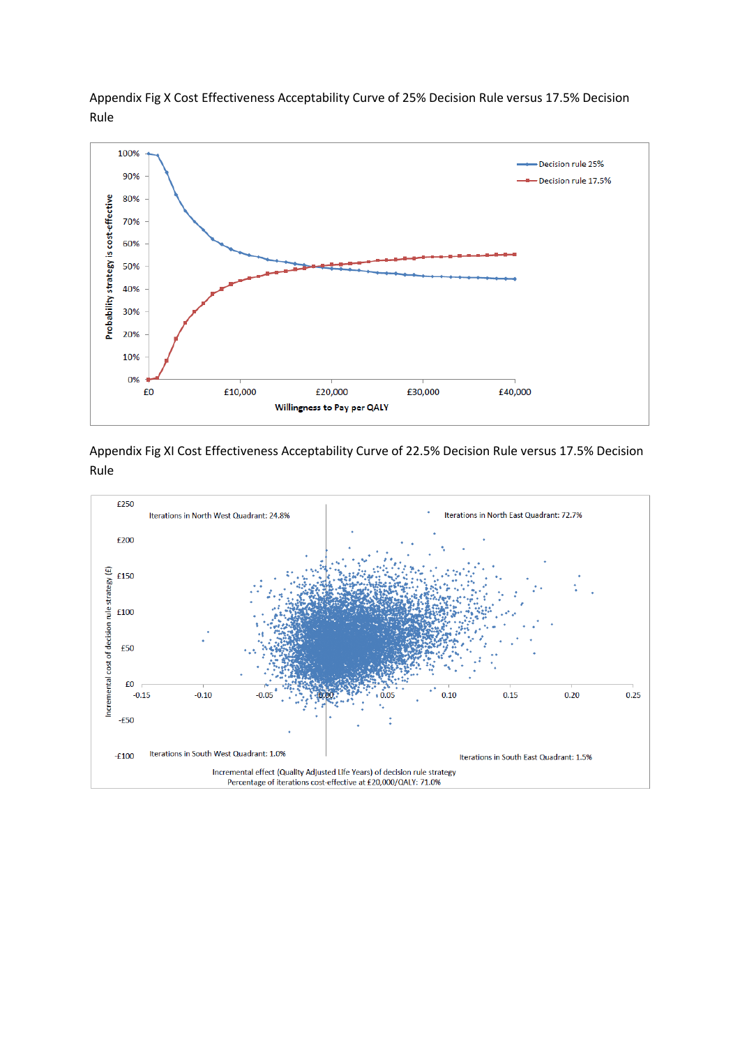Appendix Fig X Cost Effectiveness Acceptability Curve of 25% Decision Rule versus 17.5% Decision Rule



Appendix Fig XI Cost Effectiveness Acceptability Curve of 22.5% Decision Rule versus 17.5% Decision Rule

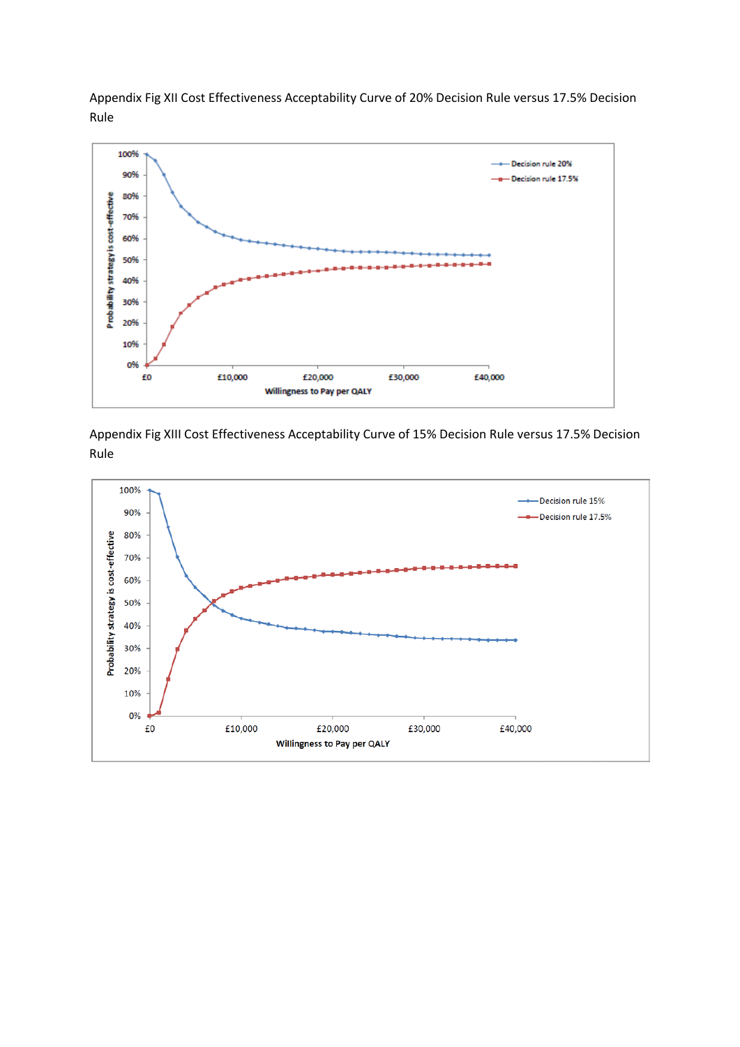Appendix Fig XII Cost Effectiveness Acceptability Curve of 20% Decision Rule versus 17.5% Decision Rule



Appendix Fig XIII Cost Effectiveness Acceptability Curve of 15% Decision Rule versus 17.5% Decision Rule